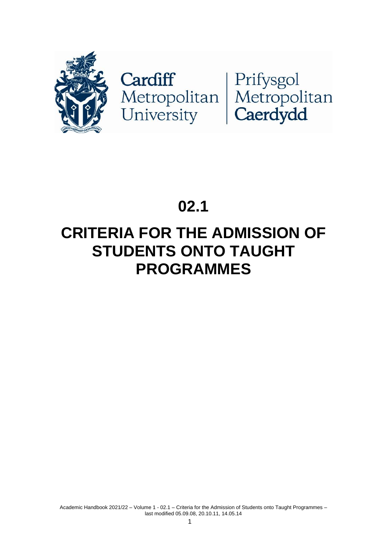

Cardiff<br>Metropolitan Metropolitan<br>University Caerdydd

# **02.1**

# **CRITERIA FOR THE ADMISSION OF STUDENTS ONTO TAUGHT PROGRAMMES**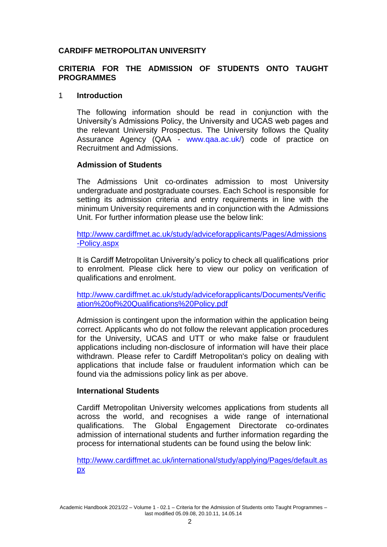# **CARDIFF METROPOLITAN UNIVERSITY**

# **CRITERIA FOR THE ADMISSION OF STUDENTS ONTO TAUGHT PROGRAMMES**

### 1 **Introduction**

The following information should be read in conjunction with the University's Admissions Policy, the University and UCAS web pages and the relevant University Prospectus. The University follows the Quality Assurance Agency (QAA - [www.qaa.ac.uk/\)](http://www.qaa.ac.uk/) code of practice on Recruitment and Admissions.

### **Admission of Students**

The Admissions Unit co-ordinates admission to most University undergraduate and postgraduate courses. Each School is responsible for setting its admission criteria and entry requirements in line with the minimum University requirements and in conjunction with the Admissions Unit. For further information please use the below link:

[http://www.cardiffmet.ac.uk/study/adviceforapplicants/Pages/Admissions](http://www.cardiffmet.ac.uk/study/adviceforapplicants/Pages/Admissions-Policy.aspx) [-Policy.aspx](http://www.cardiffmet.ac.uk/study/adviceforapplicants/Pages/Admissions-Policy.aspx)

It is Cardiff Metropolitan University's policy to check all qualifications prior to enrolment. Please click here to view our policy on verification of qualifications and enrolment.

[http://www.cardiffmet.ac.uk/study/adviceforapplicants/Documents/Verific](http://www.cardiffmet.ac.uk/study/adviceforapplicants/Documents/Verification%20of%20Qualifications%20Policy.pdf) [ation%20of%20Qualifications%20Policy.pdf](http://www.cardiffmet.ac.uk/study/adviceforapplicants/Documents/Verification%20of%20Qualifications%20Policy.pdf)

Admission is contingent upon the information within the application being correct. Applicants who do not follow the relevant application procedures for the University, UCAS and UTT or who make false or fraudulent applications including non-disclosure of information will have their place withdrawn. Please refer to Cardiff Metropolitan's policy on dealing with applications that include false or fraudulent information which can be found via the admissions policy link as per above.

#### **International Students**

Cardiff Metropolitan University welcomes applications from students all across the world, and recognises a wide range of international qualifications. The Global Engagement Directorate co-ordinates admission of international students and further information regarding the process for international students can be found using the below link:

[http://www.cardiffmet.ac.uk/international/study/applying/Pages/default.as](http://www.cardiffmet.ac.uk/international/study/applying/Pages/default.aspx) [px](http://www.cardiffmet.ac.uk/international/study/applying/Pages/default.aspx)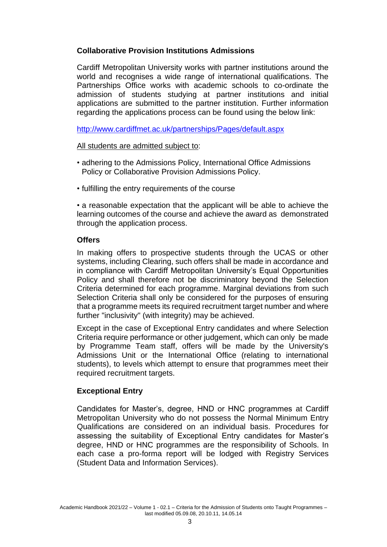# **Collaborative Provision Institutions Admissions**

Cardiff Metropolitan University works with partner institutions around the world and recognises a wide range of international qualifications. The Partnerships Office works with academic schools to co-ordinate the admission of students studying at partner institutions and initial applications are submitted to the partner institution. Further information regarding the applications process can be found using the below link:

<http://www.cardiffmet.ac.uk/partnerships/Pages/default.aspx>

### All students are admitted subject to:

- adhering to the Admissions Policy, International Office Admissions Policy or Collaborative Provision Admissions Policy.
- fulfilling the entry requirements of the course

• a reasonable expectation that the applicant will be able to achieve the learning outcomes of the course and achieve the award as demonstrated through the application process.

### **Offers**

In making offers to prospective students through the UCAS or other systems, including Clearing, such offers shall be made in accordance and in compliance with Cardiff Metropolitan University's Equal Opportunities Policy and shall therefore not be discriminatory beyond the Selection Criteria determined for each programme. Marginal deviations from such Selection Criteria shall only be considered for the purposes of ensuring that a programme meets its required recruitment target number and where further "inclusivity" (with integrity) may be achieved.

Except in the case of Exceptional Entry candidates and where Selection Criteria require performance or other judgement, which can only be made by Programme Team staff, offers will be made by the University's Admissions Unit or the International Office (relating to international students), to levels which attempt to ensure that programmes meet their required recruitment targets.

# **Exceptional Entry**

Candidates for Master's, degree, HND or HNC programmes at Cardiff Metropolitan University who do not possess the Normal Minimum Entry Qualifications are considered on an individual basis. Procedures for assessing the suitability of Exceptional Entry candidates for Master's degree, HND or HNC programmes are the responsibility of Schools. In each case a pro-forma report will be lodged with Registry Services (Student Data and Information Services).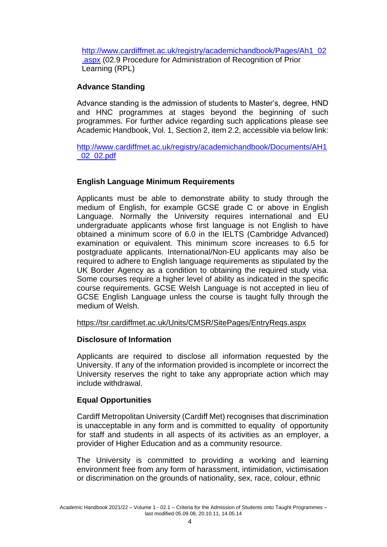[http://www.cardiffmet.ac.uk/registry/academichandbook/Pages/Ah1\\_02](http://www.cardiffmet.ac.uk/registry/academichandbook/Pages/Ah1_02.aspx) [.aspx](http://www.cardiffmet.ac.uk/registry/academichandbook/Pages/Ah1_02.aspx) (02.9 Procedure for Administration of Recognition of Prior Learning (RPL)

# **Advance Standing**

Advance standing is the admission of students to Master's, degree, HND and HNC programmes at stages beyond the beginning of such programmes. For further advice regarding such applications please see Academic Handbook, Vol. 1, Section 2, item 2.2, accessible via below link:

[http://www.cardiffmet.ac.uk/registry/academichandbook/Documents/AH1](http://www.cardiffmet.ac.uk/registry/academichandbook/Documents/AH1_02_02.pdf) [\\_02\\_02.pdf](http://www.cardiffmet.ac.uk/registry/academichandbook/Documents/AH1_02_02.pdf)

# **English Language Minimum Requirements**

Applicants must be able to demonstrate ability to study through the medium of English, for example GCSE grade C or above in English Language. Normally the University requires international and EU undergraduate applicants whose first language is not English to have obtained a minimum score of 6.0 in the IELTS (Cambridge Advanced) examination or equivalent. This minimum score increases to 6.5 for postgraduate applicants. International/Non-EU applicants may also be required to adhere to English language requirements as stipulated by the UK Border Agency as a condition to obtaining the required study visa. Some courses require a higher level of ability as indicated in the specific course requirements. GCSE Welsh Language is not accepted in lieu of GCSE English Language unless the course is taught fully through the medium of Welsh.

<https://tsr.cardiffmet.ac.uk/Units/CMSR/SitePages/EntryReqs.aspx>

# **Disclosure of Information**

Applicants are required to disclose all information requested by the University. If any of the information provided is incomplete or incorrect the University reserves the right to take any appropriate action which may include withdrawal.

# **Equal Opportunities**

Cardiff Metropolitan University (Cardiff Met) recognises that discrimination is unacceptable in any form and is committed to equality of opportunity for staff and students in all aspects of its activities as an employer, a provider of Higher Education and as a community resource.

The University is committed to providing a working and learning environment free from any form of harassment, intimidation, victimisation or discrimination on the grounds of nationality, sex, race, colour, ethnic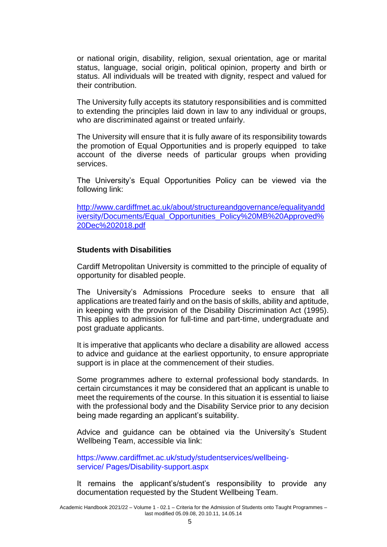or national origin, disability, religion, sexual orientation, age or marital status, language, social origin, political opinion, property and birth or status. All individuals will be treated with dignity, respect and valued for their contribution.

The University fully accepts its statutory responsibilities and is committed to extending the principles laid down in law to any individual or groups, who are discriminated against or treated unfairly.

The University will ensure that it is fully aware of its responsibility towards the promotion of Equal Opportunities and is properly equipped to take account of the diverse needs of particular groups when providing services.

The University's Equal Opportunities Policy can be viewed via the following link:

[http://www.cardiffmet.ac.uk/about/structureandgovernance/equalityandd](http://www.cardiffmet.ac.uk/about/structureandgovernance/equalityanddiversity/Documents/Equal_Opportunities_Policy%20MB%20Approved%20Dec%202018.pdf) [iversity/Documents/Equal\\_Opportunities\\_Policy%20MB%20Approved%](http://www.cardiffmet.ac.uk/about/structureandgovernance/equalityanddiversity/Documents/Equal_Opportunities_Policy%20MB%20Approved%20Dec%202018.pdf) [20Dec%202018.pdf](http://www.cardiffmet.ac.uk/about/structureandgovernance/equalityanddiversity/Documents/Equal_Opportunities_Policy%20MB%20Approved%20Dec%202018.pdf)

#### **Students with Disabilities**

Cardiff Metropolitan University is committed to the principle of equality of opportunity for disabled people.

The University's Admissions Procedure seeks to ensure that all applications are treated fairly and on the basis of skills, ability and aptitude, in keeping with the provision of the Disability Discrimination Act (1995). This applies to admission for full-time and part-time, undergraduate and post graduate applicants.

It is imperative that applicants who declare a disability are allowed access to advice and guidance at the earliest opportunity, to ensure appropriate support is in place at the commencement of their studies.

Some programmes adhere to external professional body standards. In certain circumstances it may be considered that an applicant is unable to meet the requirements of the course. In this situation it is essential to liaise with the professional body and the Disability Service prior to any decision being made regarding an applicant's suitability.

Advice and guidance can be obtained via the University's Student Wellbeing Team, accessible via link:

[https://www.cardiffmet.ac.uk/study/studentservices/wellbeing](http://www.cardiffmet.ac.uk/study/studentservices/wellbeing-service/)[service/](http://www.cardiffmet.ac.uk/study/studentservices/wellbeing-service/) Pages/Disability-support.aspx

It remains the applicant's/student's responsibility to provide any documentation requested by the Student Wellbeing Team.